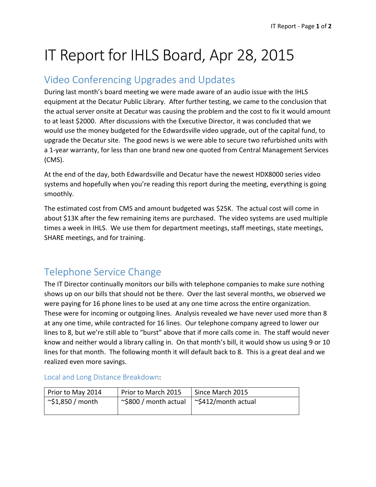# IT Report for IHLS Board, Apr 28, 2015

### Video Conferencing Upgrades and Updates

During last month's board meeting we were made aware of an audio issue with the IHLS equipment at the Decatur Public Library. After further testing, we came to the conclusion that the actual server onsite at Decatur was causing the problem and the cost to fix it would amount to at least \$2000. After discussions with the Executive Director, it was concluded that we would use the money budgeted for the Edwardsville video upgrade, out of the capital fund, to upgrade the Decatur site. The good news is we were able to secure two refurbished units with a 1-year warranty, for less than one brand new one quoted from Central Management Services (CMS).

At the end of the day, both Edwardsville and Decatur have the newest HDX8000 series video systems and hopefully when you're reading this report during the meeting, everything is going smoothly.

The estimated cost from CMS and amount budgeted was \$25K. The actual cost will come in about \$13K after the few remaining items are purchased. The video systems are used multiple times a week in IHLS. We use them for department meetings, staff meetings, state meetings, SHARE meetings, and for training.

## Telephone Service Change

The IT Director continually monitors our bills with telephone companies to make sure nothing shows up on our bills that should not be there. Over the last several months, we observed we were paying for 16 phone lines to be used at any one time across the entire organization. These were for incoming or outgoing lines. Analysis revealed we have never used more than 8 at any one time, while contracted for 16 lines. Our telephone company agreed to lower our lines to 8, but we're still able to "burst" above that if more calls come in. The staff would never know and neither would a library calling in. On that month's bill, it would show us using 9 or 10 lines for that month. The following month it will default back to 8. This is a great deal and we realized even more savings.

| Prior to May 2014 | Prior to March 2015   | Since March 2015    |
|-------------------|-----------------------|---------------------|
| ~\$1,850 / month  | ~\$800 / month actual | ~\$412/month actual |
|                   |                       |                     |

#### Local and Long Distance Breakdown: